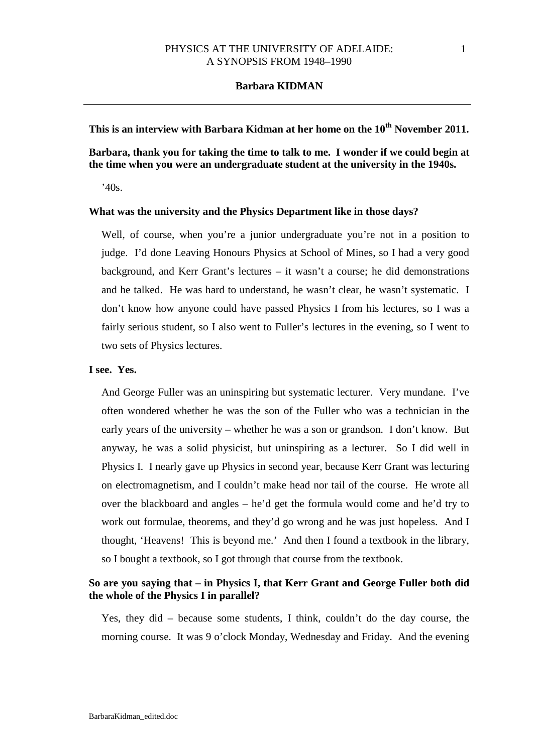# This is an interview with Barbara Kidman at her home on the 10<sup>th</sup> November 2011.

# **Barbara, thank you for taking the time to talk to me. I wonder if we could begin at the time when you were an undergraduate student at the university in the 1940s.**

'40s.

# **What was the university and the Physics Department like in those days?**

Well, of course, when you're a junior undergraduate you're not in a position to judge. I'd done Leaving Honours Physics at School of Mines, so I had a very good background, and Kerr Grant's lectures – it wasn't a course; he did demonstrations and he talked. He was hard to understand, he wasn't clear, he wasn't systematic. I don't know how anyone could have passed Physics I from his lectures, so I was a fairly serious student, so I also went to Fuller's lectures in the evening, so I went to two sets of Physics lectures.

### **I see. Yes.**

And George Fuller was an uninspiring but systematic lecturer. Very mundane. I've often wondered whether he was the son of the Fuller who was a technician in the early years of the university – whether he was a son or grandson. I don't know. But anyway, he was a solid physicist, but uninspiring as a lecturer. So I did well in Physics I. I nearly gave up Physics in second year, because Kerr Grant was lecturing on electromagnetism, and I couldn't make head nor tail of the course. He wrote all over the blackboard and angles – he'd get the formula would come and he'd try to work out formulae, theorems, and they'd go wrong and he was just hopeless. And I thought, 'Heavens! This is beyond me.' And then I found a textbook in the library, so I bought a textbook, so I got through that course from the textbook.

# **So are you saying that – in Physics I, that Kerr Grant and George Fuller both did the whole of the Physics I in parallel?**

Yes, they did – because some students, I think, couldn't do the day course, the morning course. It was 9 o'clock Monday, Wednesday and Friday. And the evening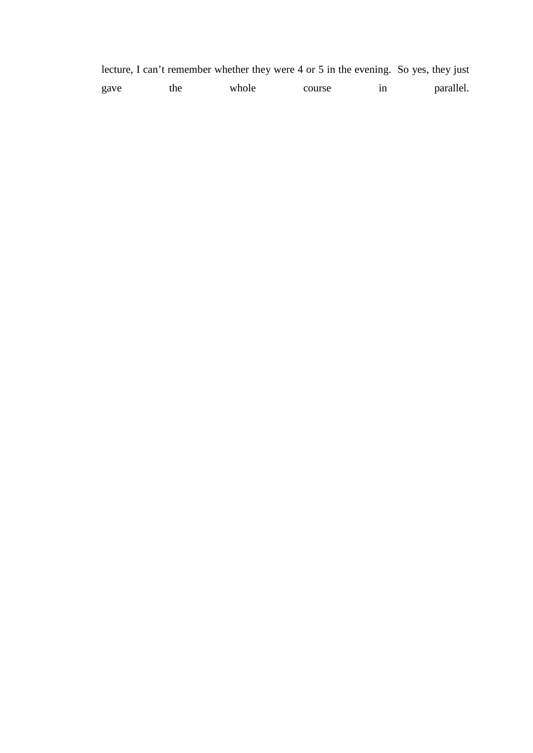|      |     |       | lecture, I can't remember whether they were 4 or 5 in the evening. So yes, they just |    |           |
|------|-----|-------|--------------------------------------------------------------------------------------|----|-----------|
| gave | the | whole | course                                                                               | 1n | parallel. |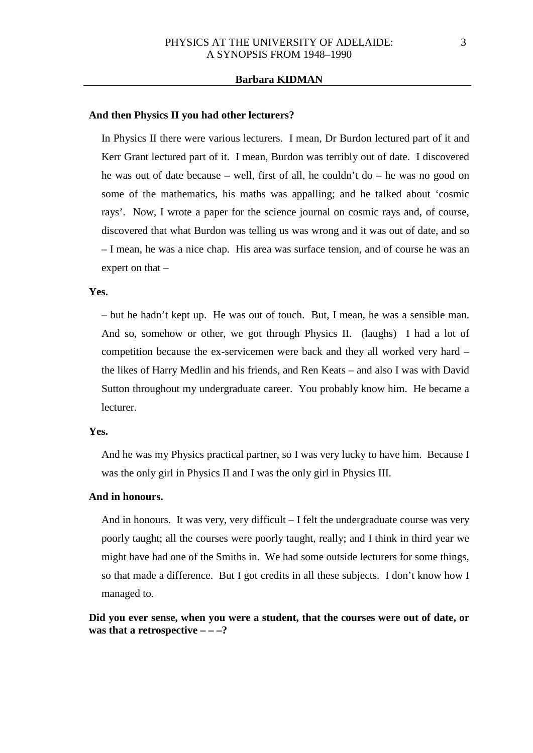#### **And then Physics II you had other lecturers?**

In Physics II there were various lecturers. I mean, Dr Burdon lectured part of it and Kerr Grant lectured part of it. I mean, Burdon was terribly out of date. I discovered he was out of date because – well, first of all, he couldn't do – he was no good on some of the mathematics, his maths was appalling; and he talked about 'cosmic rays'. Now, I wrote a paper for the science journal on cosmic rays and, of course, discovered that what Burdon was telling us was wrong and it was out of date, and so – I mean, he was a nice chap. His area was surface tension, and of course he was an expert on that –

### **Yes.**

– but he hadn't kept up. He was out of touch. But, I mean, he was a sensible man. And so, somehow or other, we got through Physics II. (laughs) I had a lot of competition because the ex-servicemen were back and they all worked very hard – the likes of Harry Medlin and his friends, and Ren Keats – and also I was with David Sutton throughout my undergraduate career. You probably know him. He became a lecturer.

#### **Yes.**

And he was my Physics practical partner, so I was very lucky to have him. Because I was the only girl in Physics II and I was the only girl in Physics III.

#### **And in honours.**

And in honours. It was very, very difficult – I felt the undergraduate course was very poorly taught; all the courses were poorly taught, really; and I think in third year we might have had one of the Smiths in. We had some outside lecturers for some things, so that made a difference. But I got credits in all these subjects. I don't know how I managed to.

# **Did you ever sense, when you were a student, that the courses were out of date, or was that a retrospective – – –?**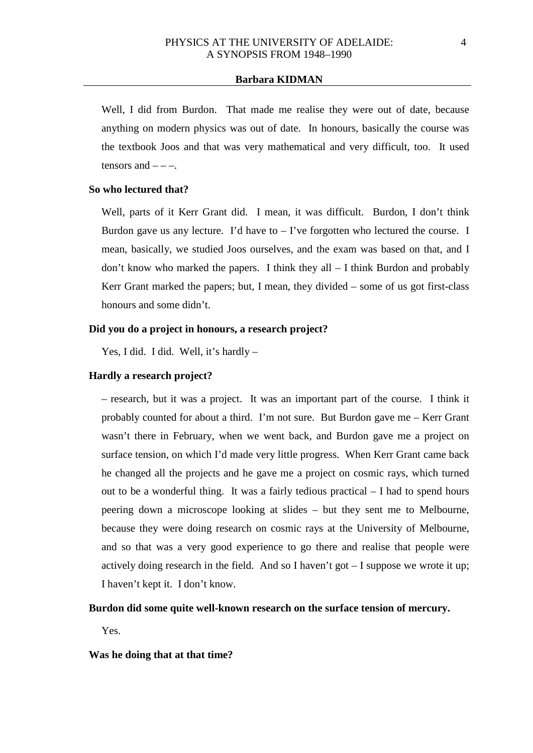Well, I did from Burdon. That made me realise they were out of date, because anything on modern physics was out of date. In honours, basically the course was the textbook Joos and that was very mathematical and very difficult, too. It used tensors and  $---$ .

## **So who lectured that?**

Well, parts of it Kerr Grant did. I mean, it was difficult. Burdon, I don't think Burdon gave us any lecture. I'd have to  $-$  I've forgotten who lectured the course. I mean, basically, we studied Joos ourselves, and the exam was based on that, and I don't know who marked the papers. I think they all – I think Burdon and probably Kerr Grant marked the papers; but, I mean, they divided – some of us got first-class honours and some didn't.

# **Did you do a project in honours, a research project?**

Yes, I did. I did. Well, it's hardly -

## **Hardly a research project?**

– research, but it was a project. It was an important part of the course. I think it probably counted for about a third. I'm not sure. But Burdon gave me – Kerr Grant wasn't there in February, when we went back, and Burdon gave me a project on surface tension, on which I'd made very little progress. When Kerr Grant came back he changed all the projects and he gave me a project on cosmic rays, which turned out to be a wonderful thing. It was a fairly tedious practical – I had to spend hours peering down a microscope looking at slides – but they sent me to Melbourne, because they were doing research on cosmic rays at the University of Melbourne, and so that was a very good experience to go there and realise that people were actively doing research in the field. And so I haven't got – I suppose we wrote it up; I haven't kept it. I don't know.

## **Burdon did some quite well-known research on the surface tension of mercury.**

Yes.

## **Was he doing that at that time?**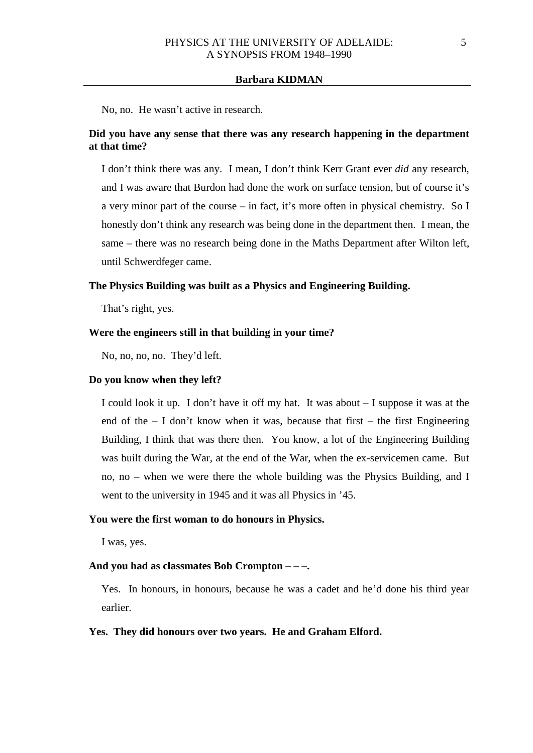No, no. He wasn't active in research.

# **Did you have any sense that there was any research happening in the department at that time?**

I don't think there was any. I mean, I don't think Kerr Grant ever *did* any research, and I was aware that Burdon had done the work on surface tension, but of course it's a very minor part of the course – in fact, it's more often in physical chemistry. So I honestly don't think any research was being done in the department then. I mean, the same – there was no research being done in the Maths Department after Wilton left, until Schwerdfeger came.

#### **The Physics Building was built as a Physics and Engineering Building.**

That's right, yes.

# **Were the engineers still in that building in your time?**

No, no, no, no. They'd left.

# **Do you know when they left?**

I could look it up. I don't have it off my hat. It was about – I suppose it was at the end of the  $- I$  don't know when it was, because that first  $-$  the first Engineering Building, I think that was there then. You know, a lot of the Engineering Building was built during the War, at the end of the War, when the ex-servicemen came. But no, no  $-$  when we were there the whole building was the Physics Building, and I went to the university in 1945 and it was all Physics in '45.

#### **You were the first woman to do honours in Physics.**

I was, yes.

# **And you had as classmates Bob Crompton – – –.**

Yes. In honours, in honours, because he was a cadet and he'd done his third year earlier.

## **Yes. They did honours over two years. He and Graham Elford.**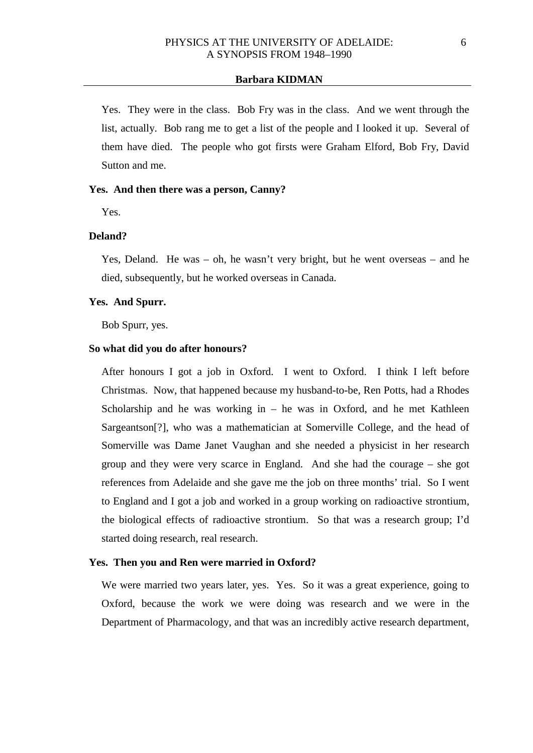Yes. They were in the class. Bob Fry was in the class. And we went through the list, actually. Bob rang me to get a list of the people and I looked it up. Several of them have died. The people who got firsts were Graham Elford, Bob Fry, David Sutton and me.

#### **Yes. And then there was a person, Canny?**

Yes.

## **Deland?**

Yes, Deland. He was – oh, he wasn't very bright, but he went overseas – and he died, subsequently, but he worked overseas in Canada.

# **Yes. And Spurr.**

Bob Spurr, yes.

### **So what did you do after honours?**

After honours I got a job in Oxford. I went to Oxford. I think I left before Christmas. Now, that happened because my husband-to-be, Ren Potts, had a Rhodes Scholarship and he was working in  $-$  he was in Oxford, and he met Kathleen Sargeantson[?], who was a mathematician at Somerville College, and the head of Somerville was Dame Janet Vaughan and she needed a physicist in her research group and they were very scarce in England. And she had the courage – she got references from Adelaide and she gave me the job on three months' trial. So I went to England and I got a job and worked in a group working on radioactive strontium, the biological effects of radioactive strontium. So that was a research group; I'd started doing research, real research.

### **Yes. Then you and Ren were married in Oxford?**

We were married two years later, yes. Yes. So it was a great experience, going to Oxford, because the work we were doing was research and we were in the Department of Pharmacology, and that was an incredibly active research department,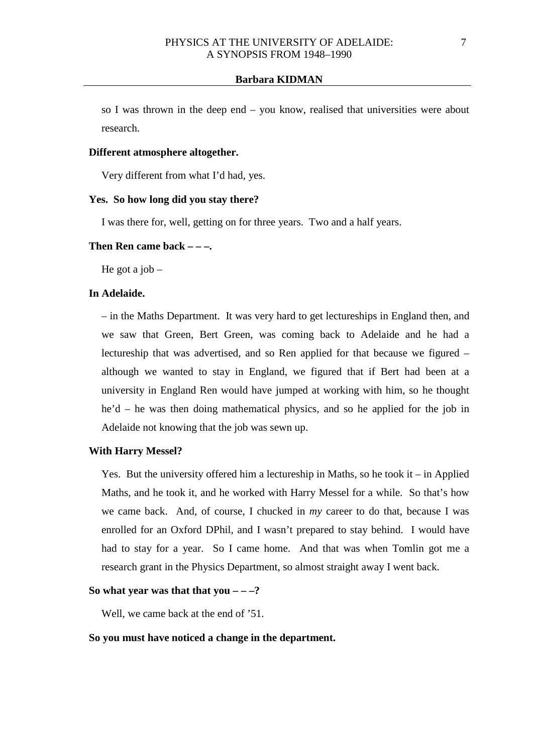so I was thrown in the deep end – you know, realised that universities were about research.

## **Different atmosphere altogether.**

Very different from what I'd had, yes.

## **Yes. So how long did you stay there?**

I was there for, well, getting on for three years. Two and a half years.

#### **Then Ren came back – – –.**

He got a job  $-$ 

## **In Adelaide.**

– in the Maths Department. It was very hard to get lectureships in England then, and we saw that Green, Bert Green, was coming back to Adelaide and he had a lectureship that was advertised, and so Ren applied for that because we figured – although we wanted to stay in England, we figured that if Bert had been at a university in England Ren would have jumped at working with him, so he thought he'd – he was then doing mathematical physics, and so he applied for the job in Adelaide not knowing that the job was sewn up.

#### **With Harry Messel?**

Yes. But the university offered him a lectureship in Maths, so he took it – in Applied Maths, and he took it, and he worked with Harry Messel for a while. So that's how we came back. And, of course, I chucked in *my* career to do that, because I was enrolled for an Oxford DPhil, and I wasn't prepared to stay behind. I would have had to stay for a year. So I came home. And that was when Tomlin got me a research grant in the Physics Department, so almost straight away I went back.

### So what year was that that you  $-\frac{2}{3}$

Well, we came back at the end of '51.

### **So you must have noticed a change in the department.**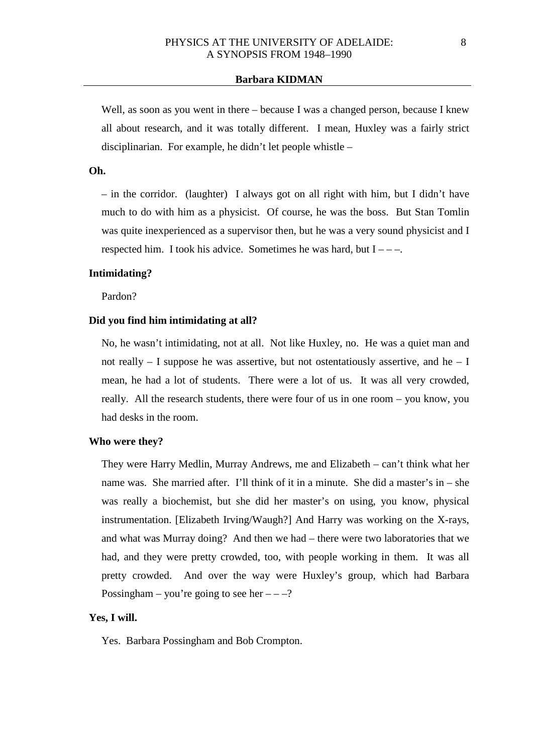Well, as soon as you went in there – because I was a changed person, because I knew all about research, and it was totally different. I mean, Huxley was a fairly strict disciplinarian. For example, he didn't let people whistle –

# **Oh.**

– in the corridor. (laughter) I always got on all right with him, but I didn't have much to do with him as a physicist. Of course, he was the boss. But Stan Tomlin was quite inexperienced as a supervisor then, but he was a very sound physicist and I respected him. I took his advice. Sometimes he was hard, but  $I$  – –.

## **Intimidating?**

Pardon?

# **Did you find him intimidating at all?**

No, he wasn't intimidating, not at all. Not like Huxley, no. He was a quiet man and not really  $-$  I suppose he was assertive, but not ostentatiously assertive, and he  $-$  I mean, he had a lot of students. There were a lot of us. It was all very crowded, really. All the research students, there were four of us in one room – you know, you had desks in the room.

#### **Who were they?**

They were Harry Medlin, Murray Andrews, me and Elizabeth – can't think what her name was. She married after. I'll think of it in a minute. She did a master's in – she was really a biochemist, but she did her master's on using, you know, physical instrumentation. [Elizabeth Irving/Waugh?] And Harry was working on the X-rays, and what was Murray doing? And then we had – there were two laboratories that we had, and they were pretty crowded, too, with people working in them. It was all pretty crowded. And over the way were Huxley's group, which had Barbara Possingham – you're going to see her  $---?$ 

# **Yes, I will.**

Yes. Barbara Possingham and Bob Crompton.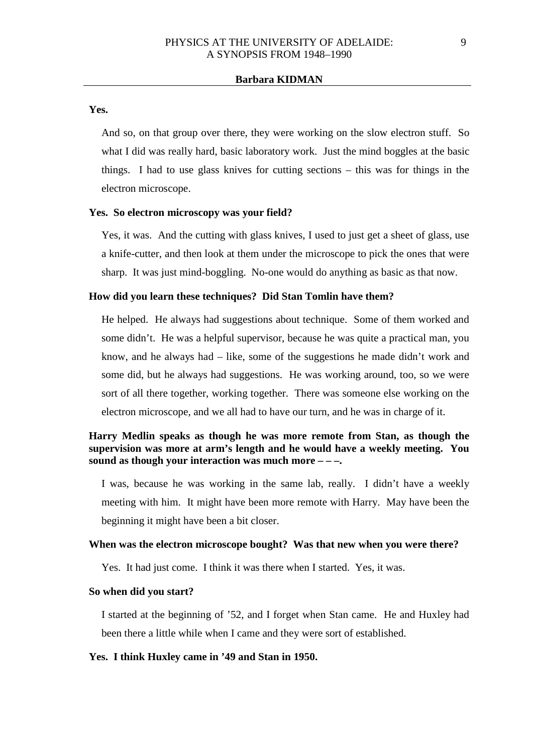**Yes.**

And so, on that group over there, they were working on the slow electron stuff. So what I did was really hard, basic laboratory work. Just the mind boggles at the basic things. I had to use glass knives for cutting sections – this was for things in the electron microscope.

### **Yes. So electron microscopy was your field?**

Yes, it was. And the cutting with glass knives, I used to just get a sheet of glass, use a knife-cutter, and then look at them under the microscope to pick the ones that were sharp. It was just mind-boggling. No-one would do anything as basic as that now.

# **How did you learn these techniques? Did Stan Tomlin have them?**

He helped. He always had suggestions about technique. Some of them worked and some didn't. He was a helpful supervisor, because he was quite a practical man, you know, and he always had – like, some of the suggestions he made didn't work and some did, but he always had suggestions. He was working around, too, so we were sort of all there together, working together. There was someone else working on the electron microscope, and we all had to have our turn, and he was in charge of it.

# **Harry Medlin speaks as though he was more remote from Stan, as though the supervision was more at arm's length and he would have a weekly meeting. You sound as though your interaction was much more – – –.**

I was, because he was working in the same lab, really. I didn't have a weekly meeting with him. It might have been more remote with Harry. May have been the beginning it might have been a bit closer.

# **When was the electron microscope bought? Was that new when you were there?**

Yes. It had just come. I think it was there when I started. Yes, it was.

# **So when did you start?**

I started at the beginning of '52, and I forget when Stan came. He and Huxley had been there a little while when I came and they were sort of established.

#### **Yes. I think Huxley came in '49 and Stan in 1950.**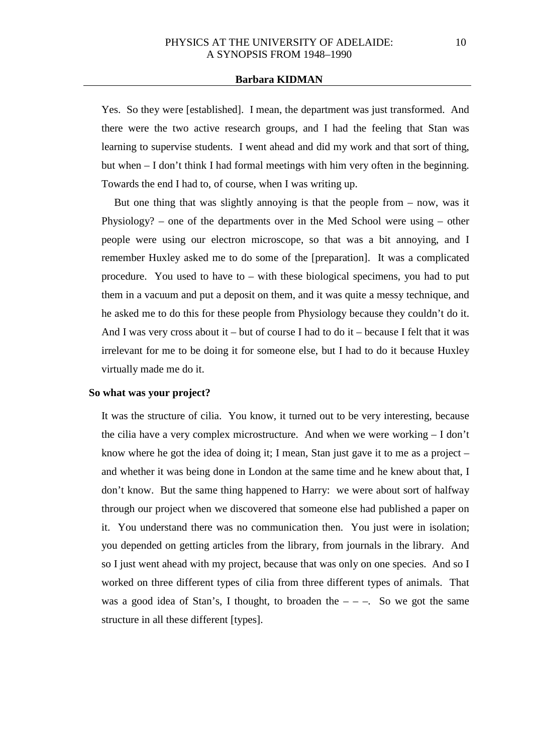Yes. So they were [established]. I mean, the department was just transformed. And there were the two active research groups, and I had the feeling that Stan was learning to supervise students. I went ahead and did my work and that sort of thing, but when – I don't think I had formal meetings with him very often in the beginning. Towards the end I had to, of course, when I was writing up.

But one thing that was slightly annoying is that the people from  $-$  now, was it Physiology? – one of the departments over in the Med School were using – other people were using our electron microscope, so that was a bit annoying, and I remember Huxley asked me to do some of the [preparation]. It was a complicated procedure. You used to have to – with these biological specimens, you had to put them in a vacuum and put a deposit on them, and it was quite a messy technique, and he asked me to do this for these people from Physiology because they couldn't do it. And I was very cross about it – but of course I had to do it – because I felt that it was irrelevant for me to be doing it for someone else, but I had to do it because Huxley virtually made me do it.

### **So what was your project?**

It was the structure of cilia. You know, it turned out to be very interesting, because the cilia have a very complex microstructure. And when we were working – I don't know where he got the idea of doing it; I mean, Stan just gave it to me as a project – and whether it was being done in London at the same time and he knew about that, I don't know. But the same thing happened to Harry: we were about sort of halfway through our project when we discovered that someone else had published a paper on it. You understand there was no communication then. You just were in isolation; you depended on getting articles from the library, from journals in the library. And so I just went ahead with my project, because that was only on one species. And so I worked on three different types of cilia from three different types of animals. That was a good idea of Stan's, I thought, to broaden the  $-$  –  $-$ . So we got the same structure in all these different [types].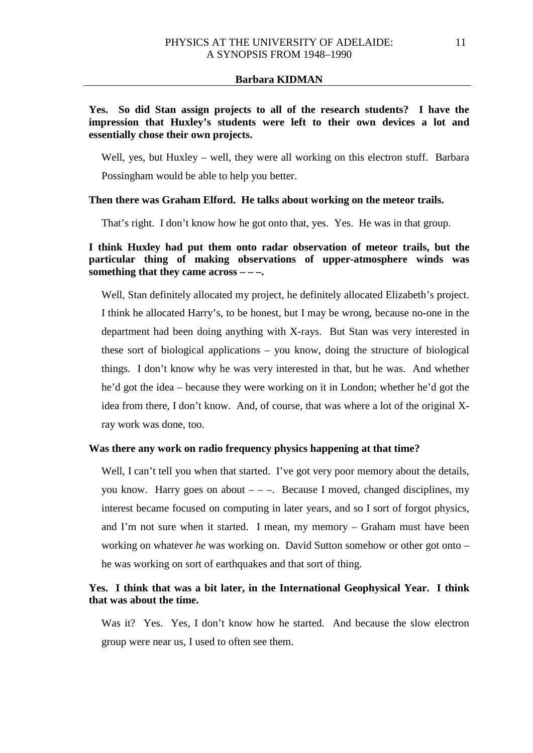# **Yes. So did Stan assign projects to all of the research students? I have the impression that Huxley's students were left to their own devices a lot and essentially chose their own projects.**

Well, yes, but Huxley – well, they were all working on this electron stuff. Barbara Possingham would be able to help you better.

# **Then there was Graham Elford. He talks about working on the meteor trails.**

That's right. I don't know how he got onto that, yes. Yes. He was in that group.

# **I think Huxley had put them onto radar observation of meteor trails, but the particular thing of making observations of upper-atmosphere winds was something that they came across – – –.**

Well, Stan definitely allocated my project, he definitely allocated Elizabeth's project. I think he allocated Harry's, to be honest, but I may be wrong, because no-one in the department had been doing anything with X-rays. But Stan was very interested in these sort of biological applications – you know, doing the structure of biological things. I don't know why he was very interested in that, but he was. And whether he'd got the idea – because they were working on it in London; whether he'd got the idea from there, I don't know. And, of course, that was where a lot of the original Xray work was done, too.

# **Was there any work on radio frequency physics happening at that time?**

Well, I can't tell you when that started. I've got very poor memory about the details, you know. Harry goes on about  $---$ . Because I moved, changed disciplines, my interest became focused on computing in later years, and so I sort of forgot physics, and I'm not sure when it started. I mean, my memory – Graham must have been working on whatever *he* was working on. David Sutton somehow or other got onto – he was working on sort of earthquakes and that sort of thing.

# **Yes. I think that was a bit later, in the International Geophysical Year. I think that was about the time.**

Was it? Yes. Yes, I don't know how he started. And because the slow electron group were near us, I used to often see them.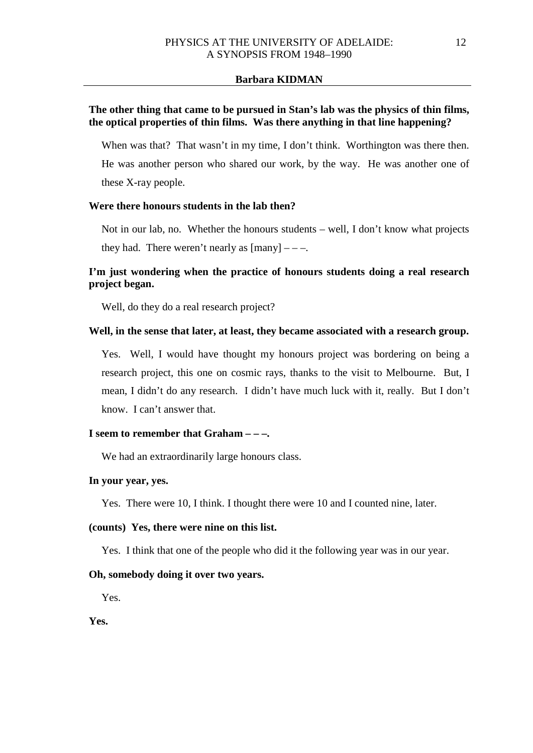# **The other thing that came to be pursued in Stan's lab was the physics of thin films, the optical properties of thin films. Was there anything in that line happening?**

When was that? That wasn't in my time, I don't think. Worthington was there then. He was another person who shared our work, by the way. He was another one of these X-ray people.

# **Were there honours students in the lab then?**

Not in our lab, no. Whether the honours students – well, I don't know what projects they had. There weren't nearly as  ${\text{[many]}} - -$ .

# **I'm just wondering when the practice of honours students doing a real research project began.**

Well, do they do a real research project?

## **Well, in the sense that later, at least, they became associated with a research group.**

Yes. Well, I would have thought my honours project was bordering on being a research project, this one on cosmic rays, thanks to the visit to Melbourne. But, I mean, I didn't do any research. I didn't have much luck with it, really. But I don't know. I can't answer that.

# **I seem to remember that Graham – – –.**

We had an extraordinarily large honours class.

### **In your year, yes.**

Yes. There were 10, I think. I thought there were 10 and I counted nine, later.

# **(counts) Yes, there were nine on this list.**

Yes. I think that one of the people who did it the following year was in our year.

## **Oh, somebody doing it over two years.**

Yes.

**Yes.**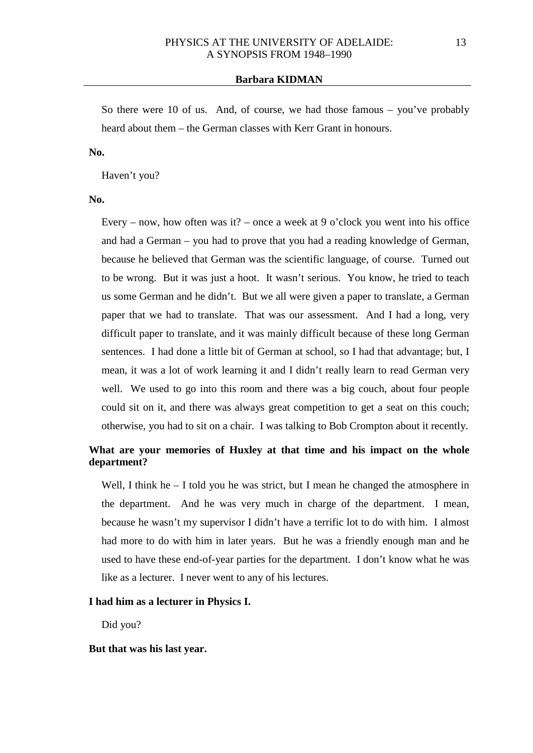So there were 10 of us. And, of course, we had those famous – you've probably heard about them – the German classes with Kerr Grant in honours.

# **No.**

Haven't you?

#### **No.**

Every – now, how often was it? – once a week at 9 o'clock you went into his office and had a German – you had to prove that you had a reading knowledge of German, because he believed that German was the scientific language, of course. Turned out to be wrong. But it was just a hoot. It wasn't serious. You know, he tried to teach us some German and he didn't. But we all were given a paper to translate, a German paper that we had to translate. That was our assessment. And I had a long, very difficult paper to translate, and it was mainly difficult because of these long German sentences. I had done a little bit of German at school, so I had that advantage; but, I mean, it was a lot of work learning it and I didn't really learn to read German very well. We used to go into this room and there was a big couch, about four people could sit on it, and there was always great competition to get a seat on this couch; otherwise, you had to sit on a chair. I was talking to Bob Crompton about it recently.

# **What are your memories of Huxley at that time and his impact on the whole department?**

Well, I think he – I told you he was strict, but I mean he changed the atmosphere in the department. And he was very much in charge of the department. I mean, because he wasn't my supervisor I didn't have a terrific lot to do with him. I almost had more to do with him in later years. But he was a friendly enough man and he used to have these end-of-year parties for the department. I don't know what he was like as a lecturer. I never went to any of his lectures.

### **I had him as a lecturer in Physics I.**

Did you?

# **But that was his last year.**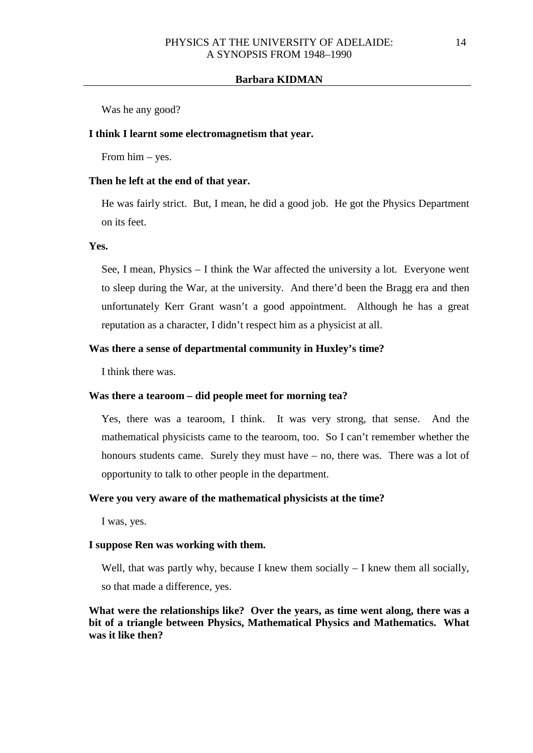Was he any good?

## **I think I learnt some electromagnetism that year.**

From him – yes.

### **Then he left at the end of that year.**

He was fairly strict. But, I mean, he did a good job. He got the Physics Department on its feet.

# **Yes.**

See, I mean, Physics – I think the War affected the university a lot. Everyone went to sleep during the War, at the university. And there'd been the Bragg era and then unfortunately Kerr Grant wasn't a good appointment. Although he has a great reputation as a character, I didn't respect him as a physicist at all.

# **Was there a sense of departmental community in Huxley's time?**

I think there was.

## **Was there a tearoom – did people meet for morning tea?**

Yes, there was a tearoom, I think. It was very strong, that sense. And the mathematical physicists came to the tearoom, too. So I can't remember whether the honours students came. Surely they must have – no, there was. There was a lot of opportunity to talk to other people in the department.

# **Were you very aware of the mathematical physicists at the time?**

I was, yes.

# **I suppose Ren was working with them.**

Well, that was partly why, because I knew them socially  $-$  I knew them all socially,

so that made a difference, yes.

**What were the relationships like? Over the years, as time went along, there was a bit of a triangle between Physics, Mathematical Physics and Mathematics. What was it like then?**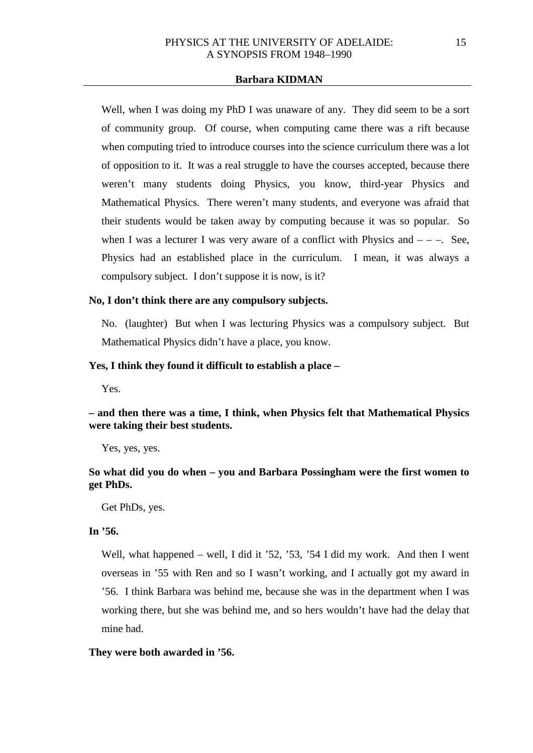Well, when I was doing my PhD I was unaware of any. They did seem to be a sort of community group. Of course, when computing came there was a rift because when computing tried to introduce courses into the science curriculum there was a lot of opposition to it. It was a real struggle to have the courses accepted, because there weren't many students doing Physics, you know, third-year Physics and Mathematical Physics. There weren't many students, and everyone was afraid that their students would be taken away by computing because it was so popular. So when I was a lecturer I was very aware of a conflict with Physics and  $---$ . See, Physics had an established place in the curriculum. I mean, it was always a compulsory subject. I don't suppose it is now, is it?

# **No, I don't think there are any compulsory subjects.**

No. (laughter) But when I was lecturing Physics was a compulsory subject. But Mathematical Physics didn't have a place, you know.

# **Yes, I think they found it difficult to establish a place –**

Yes.

**– and then there was a time, I think, when Physics felt that Mathematical Physics were taking their best students.**

Yes, yes, yes.

# **So what did you do when – you and Barbara Possingham were the first women to get PhDs.**

Get PhDs, yes.

# **In '56.**

Well, what happened – well, I did it '52, '53, '54 I did my work. And then I went overseas in '55 with Ren and so I wasn't working, and I actually got my award in '56. I think Barbara was behind me, because she was in the department when I was working there, but she was behind me, and so hers wouldn't have had the delay that mine had.

# **They were both awarded in '56.**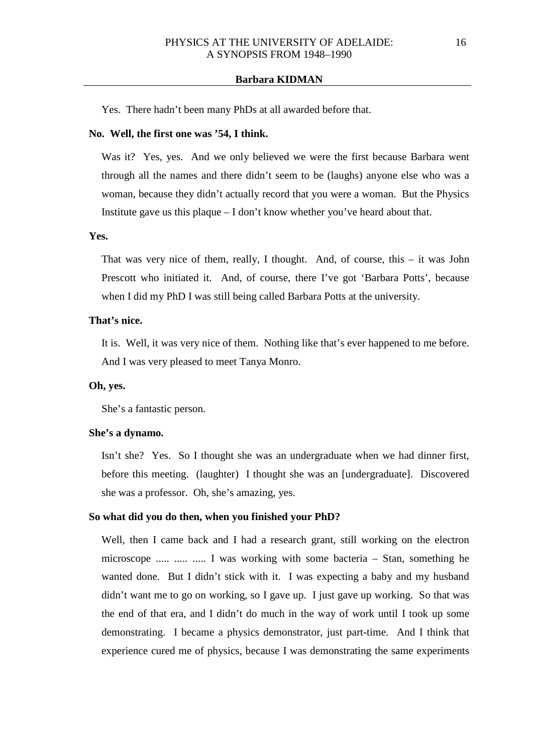Yes. There hadn't been many PhDs at all awarded before that.

#### **No. Well, the first one was '54, I think.**

Was it? Yes, yes. And we only believed we were the first because Barbara went through all the names and there didn't seem to be (laughs) anyone else who was a woman, because they didn't actually record that you were a woman. But the Physics Institute gave us this plaque – I don't know whether you've heard about that.

## **Yes.**

That was very nice of them, really, I thought. And, of course, this – it was John Prescott who initiated it. And, of course, there I've got 'Barbara Potts', because when I did my PhD I was still being called Barbara Potts at the university.

## **That's nice.**

It is. Well, it was very nice of them. Nothing like that's ever happened to me before. And I was very pleased to meet Tanya Monro.

### **Oh, yes.**

She's a fantastic person.

#### **She's a dynamo.**

Isn't she? Yes. So I thought she was an undergraduate when we had dinner first, before this meeting. (laughter) I thought she was an [undergraduate]. Discovered she was a professor. Oh, she's amazing, yes.

## **So what did you do then, when you finished your PhD?**

Well, then I came back and I had a research grant, still working on the electron microscope ..... ..... ..... I was working with some bacteria – Stan, something he wanted done. But I didn't stick with it. I was expecting a baby and my husband didn't want me to go on working, so I gave up. I just gave up working. So that was the end of that era, and I didn't do much in the way of work until I took up some demonstrating. I became a physics demonstrator, just part-time. And I think that experience cured me of physics, because I was demonstrating the same experiments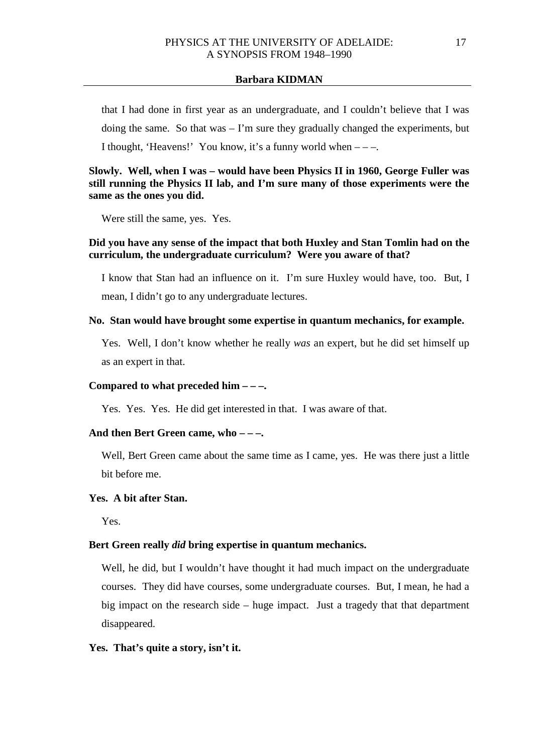that I had done in first year as an undergraduate, and I couldn't believe that I was doing the same. So that was – I'm sure they gradually changed the experiments, but I thought, 'Heavens!' You know, it's a funny world when  $---$ .

# **Slowly. Well, when I was – would have been Physics II in 1960, George Fuller was still running the Physics II lab, and I'm sure many of those experiments were the same as the ones you did.**

Were still the same, yes. Yes.

# **Did you have any sense of the impact that both Huxley and Stan Tomlin had on the curriculum, the undergraduate curriculum? Were you aware of that?**

I know that Stan had an influence on it. I'm sure Huxley would have, too. But, I mean, I didn't go to any undergraduate lectures.

# **No. Stan would have brought some expertise in quantum mechanics, for example.**

Yes. Well, I don't know whether he really *was* an expert, but he did set himself up as an expert in that.

# **Compared to what preceded him – – –.**

Yes. Yes. Yes. He did get interested in that. I was aware of that.

# **And then Bert Green came, who – – –.**

Well, Bert Green came about the same time as I came, yes. He was there just a little bit before me.

# **Yes. A bit after Stan.**

Yes.

# **Bert Green really** *did* **bring expertise in quantum mechanics.**

Well, he did, but I wouldn't have thought it had much impact on the undergraduate courses. They did have courses, some undergraduate courses. But, I mean, he had a big impact on the research side – huge impact. Just a tragedy that that department disappeared.

# **Yes. That's quite a story, isn't it.**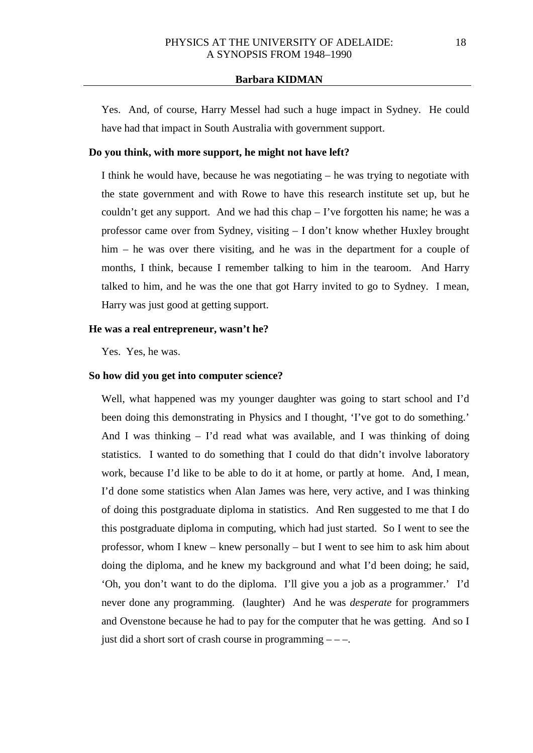Yes. And, of course, Harry Messel had such a huge impact in Sydney. He could have had that impact in South Australia with government support.

# **Do you think, with more support, he might not have left?**

I think he would have, because he was negotiating – he was trying to negotiate with the state government and with Rowe to have this research institute set up, but he couldn't get any support. And we had this chap  $-$  I've forgotten his name; he was a professor came over from Sydney, visiting – I don't know whether Huxley brought him – he was over there visiting, and he was in the department for a couple of months, I think, because I remember talking to him in the tearoom. And Harry talked to him, and he was the one that got Harry invited to go to Sydney. I mean, Harry was just good at getting support.

### **He was a real entrepreneur, wasn't he?**

Yes. Yes, he was.

### **So how did you get into computer science?**

Well, what happened was my younger daughter was going to start school and I'd been doing this demonstrating in Physics and I thought, 'I've got to do something.' And I was thinking – I'd read what was available, and I was thinking of doing statistics. I wanted to do something that I could do that didn't involve laboratory work, because I'd like to be able to do it at home, or partly at home. And, I mean, I'd done some statistics when Alan James was here, very active, and I was thinking of doing this postgraduate diploma in statistics. And Ren suggested to me that I do this postgraduate diploma in computing, which had just started. So I went to see the professor, whom I knew – knew personally – but I went to see him to ask him about doing the diploma, and he knew my background and what I'd been doing; he said, 'Oh, you don't want to do the diploma. I'll give you a job as a programmer.' I'd never done any programming. (laughter) And he was *desperate* for programmers and Ovenstone because he had to pay for the computer that he was getting. And so I just did a short sort of crash course in programming  $---$ .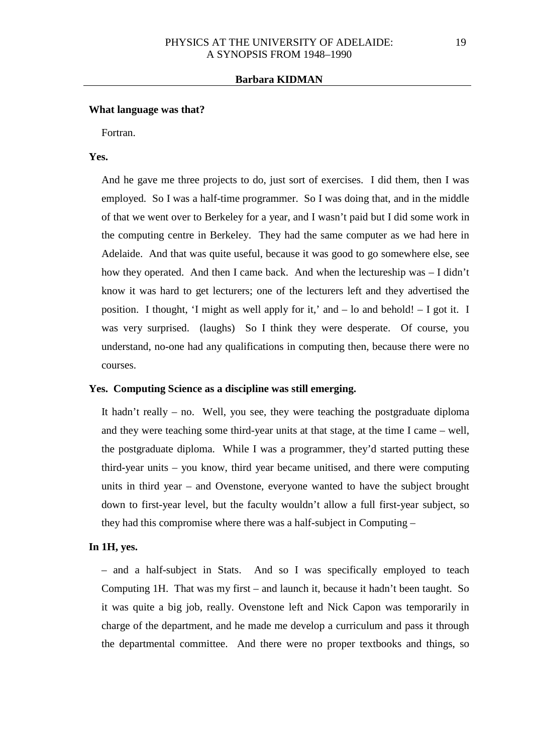#### **What language was that?**

Fortran.

# **Yes.**

And he gave me three projects to do, just sort of exercises. I did them, then I was employed. So I was a half-time programmer. So I was doing that, and in the middle of that we went over to Berkeley for a year, and I wasn't paid but I did some work in the computing centre in Berkeley. They had the same computer as we had here in Adelaide. And that was quite useful, because it was good to go somewhere else, see how they operated. And then I came back. And when the lectureship was – I didn't know it was hard to get lecturers; one of the lecturers left and they advertised the position. I thought, 'I might as well apply for it,' and – lo and behold! – I got it. I was very surprised. (laughs) So I think they were desperate. Of course, you understand, no-one had any qualifications in computing then, because there were no courses.

## **Yes. Computing Science as a discipline was still emerging.**

It hadn't really – no. Well, you see, they were teaching the postgraduate diploma and they were teaching some third-year units at that stage, at the time I came – well, the postgraduate diploma. While I was a programmer, they'd started putting these third-year units – you know, third year became unitised, and there were computing units in third year – and Ovenstone, everyone wanted to have the subject brought down to first-year level, but the faculty wouldn't allow a full first-year subject, so they had this compromise where there was a half-subject in Computing –

## **In 1H, yes.**

– and a half-subject in Stats. And so I was specifically employed to teach Computing 1H. That was my first – and launch it, because it hadn't been taught. So it was quite a big job, really. Ovenstone left and Nick Capon was temporarily in charge of the department, and he made me develop a curriculum and pass it through the departmental committee. And there were no proper textbooks and things, so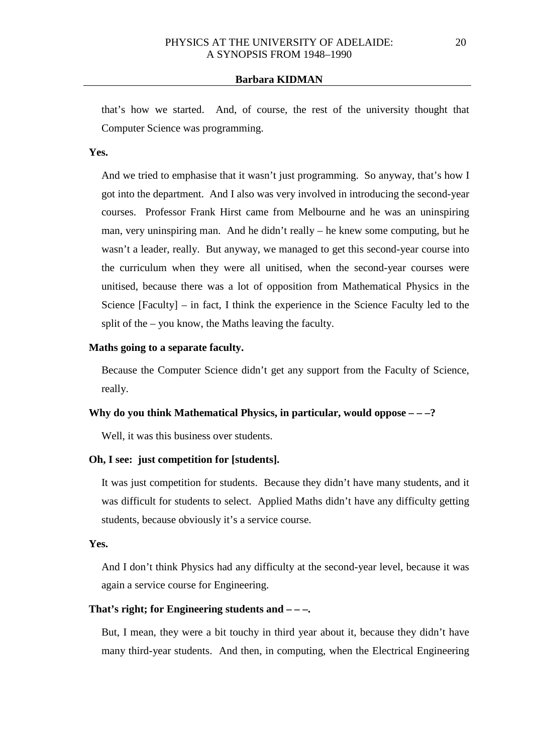that's how we started. And, of course, the rest of the university thought that Computer Science was programming.

## **Yes.**

And we tried to emphasise that it wasn't just programming. So anyway, that's how I got into the department. And I also was very involved in introducing the second-year courses. Professor Frank Hirst came from Melbourne and he was an uninspiring man, very uninspiring man. And he didn't really – he knew some computing, but he wasn't a leader, really. But anyway, we managed to get this second-year course into the curriculum when they were all unitised, when the second-year courses were unitised, because there was a lot of opposition from Mathematical Physics in the Science [Faculty] – in fact, I think the experience in the Science Faculty led to the split of the – you know, the Maths leaving the faculty.

# **Maths going to a separate faculty.**

Because the Computer Science didn't get any support from the Faculty of Science, really.

# **Why do you think Mathematical Physics, in particular, would oppose – – –?**

Well, it was this business over students.

## **Oh, I see: just competition for [students].**

It was just competition for students. Because they didn't have many students, and it was difficult for students to select. Applied Maths didn't have any difficulty getting students, because obviously it's a service course.

## **Yes.**

And I don't think Physics had any difficulty at the second-year level, because it was again a service course for Engineering.

# **That's right; for Engineering students and – – –.**

But, I mean, they were a bit touchy in third year about it, because they didn't have many third-year students. And then, in computing, when the Electrical Engineering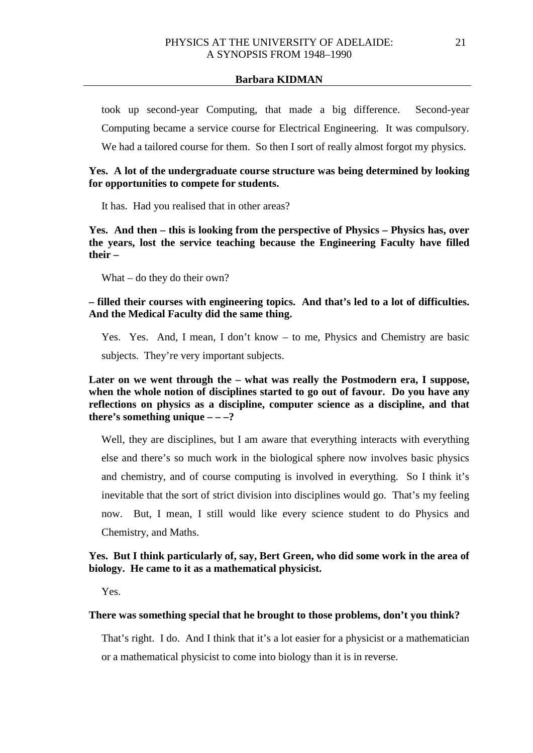took up second-year Computing, that made a big difference. Second-year Computing became a service course for Electrical Engineering. It was compulsory. We had a tailored course for them. So then I sort of really almost forgot my physics.

# **Yes. A lot of the undergraduate course structure was being determined by looking for opportunities to compete for students.**

It has. Had you realised that in other areas?

**Yes. And then – this is looking from the perspective of Physics – Physics has, over the years, lost the service teaching because the Engineering Faculty have filled their –**

What – do they do their own?

**– filled their courses with engineering topics. And that's led to a lot of difficulties. And the Medical Faculty did the same thing.** 

Yes. Yes. And, I mean, I don't know – to me, Physics and Chemistry are basic subjects. They're very important subjects.

**Later on we went through the – what was really the Postmodern era, I suppose, when the whole notion of disciplines started to go out of favour. Do you have any reflections on physics as a discipline, computer science as a discipline, and that there's something unique – – –?**

Well, they are disciplines, but I am aware that everything interacts with everything else and there's so much work in the biological sphere now involves basic physics and chemistry, and of course computing is involved in everything. So I think it's inevitable that the sort of strict division into disciplines would go. That's my feeling now. But, I mean, I still would like every science student to do Physics and Chemistry, and Maths.

# **Yes. But I think particularly of, say, Bert Green, who did some work in the area of biology. He came to it as a mathematical physicist.**

Yes.

# **There was something special that he brought to those problems, don't you think?**

That's right. I do. And I think that it's a lot easier for a physicist or a mathematician or a mathematical physicist to come into biology than it is in reverse.